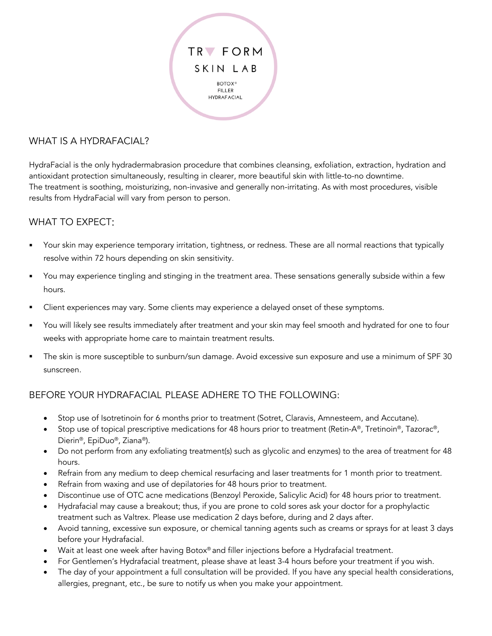

### WHAT IS A HYDRAFACIAL?

HydraFacial is the only hydradermabrasion procedure that combines cleansing, exfoliation, extraction, hydration and antioxidant protection simultaneously, resulting in clearer, more beautiful skin with little-to-no downtime. The treatment is soothing, moisturizing, non-invasive and generally non-irritating. As with most procedures, visible results from HydraFacial will vary from person to person.

#### WHAT TO EXPECT:

- § Your skin may experience temporary irritation, tightness, or redness. These are all normal reactions that typically resolve within 72 hours depending on skin sensitivity.
- § You may experience tingling and stinging in the treatment area. These sensations generally subside within a few hours.
- Client experiences may vary. Some clients may experience a delayed onset of these symptoms.
- § You will likely see results immediately after treatment and your skin may feel smooth and hydrated for one to four weeks with appropriate home care to maintain treatment results.
- § The skin is more susceptible to sunburn/sun damage. Avoid excessive sun exposure and use a minimum of SPF 30 sunscreen.

#### BEFORE YOUR HYDRAFACIAL PLEASE ADHERE TO THE FOLLOWING:

- Stop use of Isotretinoin for 6 months prior to treatment (Sotret, Claravis, Amnesteem, and Accutane).
- Stop use of topical prescriptive medications for 48 hours prior to treatment (Retin-A®, Tretinoin®, Tazorac®, Dierin®, EpiDuo®, Ziana®).
- Do not perform from any exfoliating treatment(s) such as glycolic and enzymes) to the area of treatment for 48 hours.
- Refrain from any medium to deep chemical resurfacing and laser treatments for 1 month prior to treatment.
- Refrain from waxing and use of depilatories for 48 hours prior to treatment.
- Discontinue use of OTC acne medications (Benzoyl Peroxide, Salicylic Acid) for 48 hours prior to treatment.
- Hydrafacial may cause a breakout; thus, if you are prone to cold sores ask your doctor for a prophylactic treatment such as Valtrex. Please use medication 2 days before, during and 2 days after.
- Avoid tanning, excessive sun exposure, or chemical tanning agents such as creams or sprays for at least 3 days before your Hydrafacial.
- Wait at least one week after having Botox® and filler injections before a Hydrafacial treatment.
- For Gentlemen's Hydrafacial treatment, please shave at least 3-4 hours before your treatment if you wish.
- The day of your appointment a full consultation will be provided. If you have any special health considerations, allergies, pregnant, etc., be sure to notify us when you make your appointment.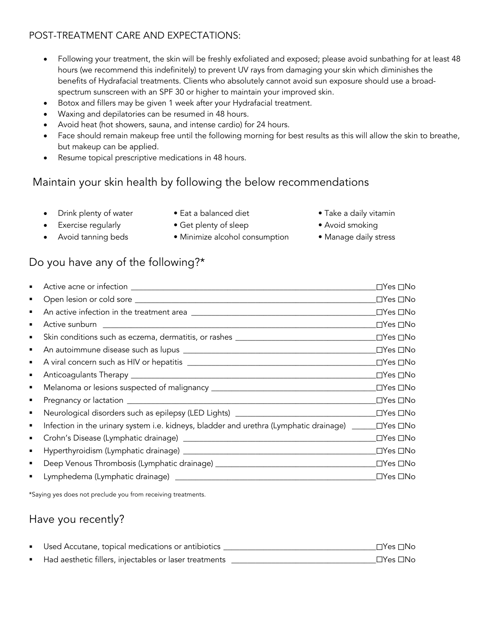### POST-TREATMENT CARE AND EXPECTATIONS:

- Following your treatment, the skin will be freshly exfoliated and exposed; please avoid sunbathing for at least 48 hours (we recommend this indefinitely) to prevent UV rays from damaging your skin which diminishes the benefits of Hydrafacial treatments. Clients who absolutely cannot avoid sun exposure should use a broadspectrum sunscreen with an SPF 30 or higher to maintain your improved skin.
- Botox and fillers may be given 1 week after your Hydrafacial treatment.
- Waxing and depilatories can be resumed in 48 hours.
- Avoid heat (hot showers, sauna, and intense cardio) for 24 hours.
- Face should remain makeup free until the following morning for best results as this will allow the skin to breathe, but makeup can be applied.
- Resume topical prescriptive medications in 48 hours.

## Maintain your skin health by following the below recommendations

- 
- 
- 
- Exercise regularly Get plenty of sleep Avoid smoking
- **Drink plenty of water** Eat a balanced diet Take a daily vitamin
	- -
- -

## • Avoid tanning beds • Minimize alcohol consumption • Manage daily stress

# Do you have any of the following?\*

| ٠ |                                                                                  | $\Box$ Yes $\Box$ No |
|---|----------------------------------------------------------------------------------|----------------------|
| ٠ |                                                                                  | _⊡Yes □No            |
| ٠ |                                                                                  | _⊡Yes ⊡No            |
| ٠ |                                                                                  | _⊡Yes □No            |
| ٠ | Skin conditions such as eczema, dermatitis, or rashes __________________________ | _⊡Yes □No            |
| п |                                                                                  | _⊡Yes ⊡No            |
| ٠ |                                                                                  | _⊡Yes □No            |
| ٠ |                                                                                  | _⊡Yes ⊡No            |
| ٠ |                                                                                  | _⊡Yes ⊡No            |
| ٠ |                                                                                  | _⊡Yes □No            |
| ٠ | Neurological disorders such as epilepsy (LED Lights) ___________________________ | _⊡Yes ⊡No            |
| п |                                                                                  |                      |
| ٠ |                                                                                  | ⊡Yes □No             |
| ٠ |                                                                                  | _⊡Yes ⊡No            |
| ٠ |                                                                                  | $\Box$ Yes $\Box$ No |
| ٠ |                                                                                  | $\Box$ Yes $\Box$ No |
|   |                                                                                  |                      |

\*Saying yes does not preclude you from receiving treatments.

## Have you recently?

| ■ Used Accutane, topical medications or antibiotics    | $\Box Y$ es $\Box$ No |
|--------------------------------------------------------|-----------------------|
| Had aesthetic fillers, injectables or laser treatments | $\Box Y$ es $\Box$ No |